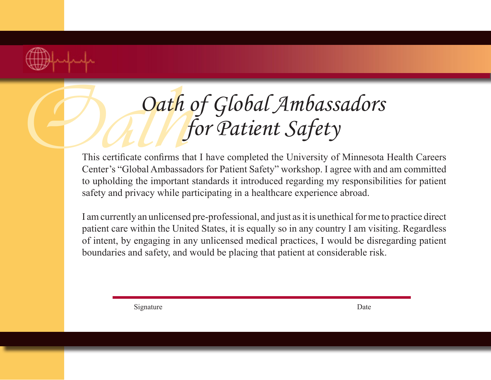

## **Oath of Global Ambassadors**<br>This certificate confirms that I have completed the University of Minnesota *for Patient Safety*

This certificate confirms that I have completed the University of Minnesota Health Careers Center's "Global Ambassadors for Patient Safety" workshop. I agree with and am committed to upholding the important standards it introduced regarding my responsibilities for patient safety and privacy while participating in a healthcare experience abroad.

I am currently an unlicensed pre-professional, and just as it is unethical for me to practice direct patient care within the United States, it is equally so in any country I am visiting. Regardless of intent, by engaging in any unlicensed medical practices, I would be disregarding patient boundaries and safety, and would be placing that patient at considerable risk.

Signature Date